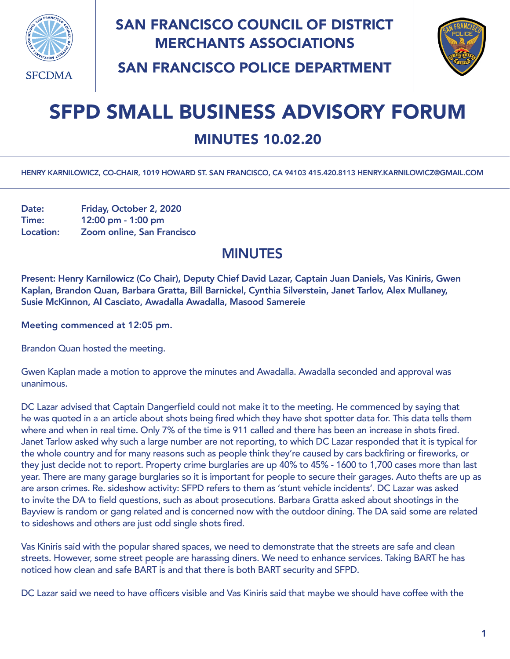

## SAN FRANCISCO COUNCIL OF DISTRICT MERCHANTS ASSOCIATIONS



SAN FRANCISCO POLICE DEPARTMENT

## SFPD SMALL BUSINESS ADVISORY FORUM

## MINUTES 10.02.20

HENRY KARNILOWICZ, CO-CHAIR, 1019 HOWARD ST. SAN FRANCISCO, CA 94103 415.420.8113 [HENRY.KARNILOWICZ@GMAIL.COM](mailto:henry.karnilowicz@gmail.com)

Date: Friday, October 2, 2020 Time: 12:00 pm - 1:00 pm Location: Zoom online, San Francisco

## MINUTES

Present: Henry Karnilowicz (Co Chair), Deputy Chief David Lazar, Captain Juan Daniels, Vas Kiniris, Gwen Kaplan, Brandon Quan, Barbara Gratta, Bill Barnickel, Cynthia Silverstein, Janet Tarlov, Alex Mullaney, Susie McKinnon, Al Casciato, Awadalla Awadalla, Masood Samereie

Meeting commenced at 12:05 pm.

Brandon Quan hosted the meeting.

Gwen Kaplan made a motion to approve the minutes and Awadalla. Awadalla seconded and approval was unanimous.

DC Lazar advised that Captain Dangerfield could not make it to the meeting. He commenced by saying that he was quoted in a an article about shots being fired which they have shot spotter data for. This data tells them where and when in real time. Only 7% of the time is 911 called and there has been an increase in shots fired. Janet Tarlow asked why such a large number are not reporting, to which DC Lazar responded that it is typical for the whole country and for many reasons such as people think they're caused by cars backfiring or fireworks, or they just decide not to report. Property crime burglaries are up 40% to 45% - 1600 to 1,700 cases more than last year. There are many garage burglaries so it is important for people to secure their garages. Auto thefts are up as are arson crimes. Re. sideshow activity: SFPD refers to them as 'stunt vehicle incidents'. DC Lazar was asked to invite the DA to field questions, such as about prosecutions. Barbara Gratta asked about shootings in the Bayview is random or gang related and is concerned now with the outdoor dining. The DA said some are related to sideshows and others are just odd single shots fired.

Vas Kiniris said with the popular shared spaces, we need to demonstrate that the streets are safe and clean streets. However, some street people are harassing diners. We need to enhance services. Taking BART he has noticed how clean and safe BART is and that there is both BART security and SFPD.

DC Lazar said we need to have officers visible and Vas Kiniris said that maybe we should have coffee with the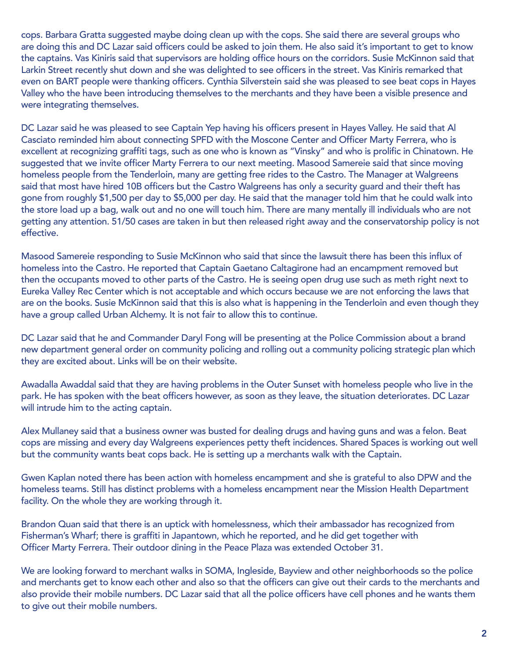cops. Barbara Gratta suggested maybe doing clean up with the cops. She said there are several groups who are doing this and DC Lazar said officers could be asked to join them. He also said it's important to get to know the captains. Vas Kiniris said that supervisors are holding office hours on the corridors. Susie McKinnon said that Larkin Street recently shut down and she was delighted to see officers in the street. Vas Kiniris remarked that even on BART people were thanking officers. Cynthia Silverstein said she was pleased to see beat cops in Hayes Valley who the have been introducing themselves to the merchants and they have been a visible presence and were integrating themselves.

DC Lazar said he was pleased to see Captain Yep having his officers present in Hayes Valley. He said that Al Casciato reminded him about connecting SPFD with the Moscone Center and Officer Marty Ferrera, who is excellent at recognizing graffiti tags, such as one who is known as "Vinsky" and who is prolific in Chinatown. He suggested that we invite officer Marty Ferrera to our next meeting. Masood Samereie said that since moving homeless people from the Tenderloin, many are getting free rides to the Castro. The Manager at Walgreens said that most have hired 10B officers but the Castro Walgreens has only a security guard and their theft has gone from roughly \$1,500 per day to \$5,000 per day. He said that the manager told him that he could walk into the store load up a bag, walk out and no one will touch him. There are many mentally ill individuals who are not getting any attention. 51/50 cases are taken in but then released right away and the conservatorship policy is not effective.

Masood Samereie responding to Susie McKinnon who said that since the lawsuit there has been this influx of homeless into the Castro. He reported that Captain Gaetano Caltagirone had an encampment removed but then the occupants moved to other parts of the Castro. He is seeing open drug use such as meth right next to Eureka Valley Rec Center which is not acceptable and which occurs because we are not enforcing the laws that are on the books. Susie McKinnon said that this is also what is happening in the Tenderloin and even though they have a group called Urban Alchemy. It is not fair to allow this to continue.

DC Lazar said that he and Commander Daryl Fong will be presenting at the Police Commission about a brand new department general order on community policing and rolling out a community policing strategic plan which they are excited about. Links will be on their website.

Awadalla Awaddal said that they are having problems in the Outer Sunset with homeless people who live in the park. He has spoken with the beat officers however, as soon as they leave, the situation deteriorates. DC Lazar will intrude him to the acting captain.

Alex Mullaney said that a business owner was busted for dealing drugs and having guns and was a felon. Beat cops are missing and every day Walgreens experiences petty theft incidences. Shared Spaces is working out well but the community wants beat cops back. He is setting up a merchants walk with the Captain.

Gwen Kaplan noted there has been action with homeless encampment and she is grateful to also DPW and the homeless teams. Still has distinct problems with a homeless encampment near the Mission Health Department facility. On the whole they are working through it.

Brandon Quan said that there is an uptick with homelessness, which their ambassador has recognized from Fisherman's Wharf; there is graffiti in Japantown, which he reported, and he did get together with Officer Marty Ferrera. Their outdoor dining in the Peace Plaza was extended October 31.

We are looking forward to merchant walks in SOMA, Ingleside, Bayview and other neighborhoods so the police and merchants get to know each other and also so that the officers can give out their cards to the merchants and also provide their mobile numbers. DC Lazar said that all the police officers have cell phones and he wants them to give out their mobile numbers.